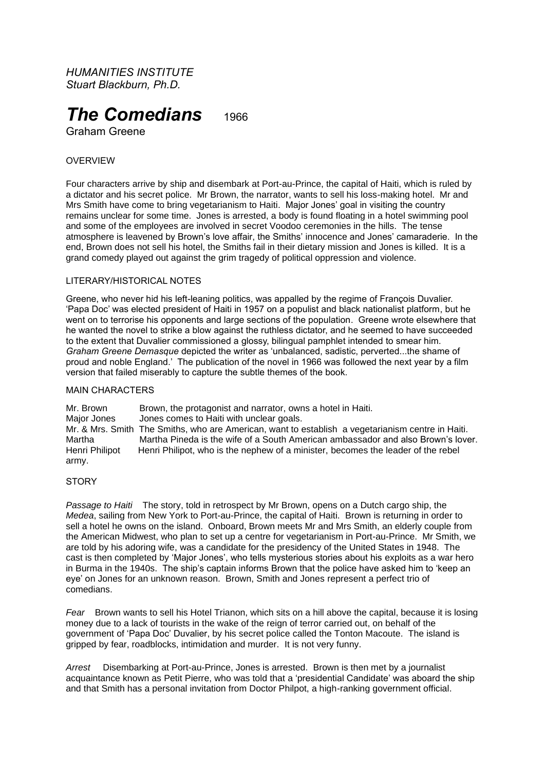*HUMANITIES INSTITUTE Stuart Blackburn, Ph.D.*

# **The Comedians** 1966

Graham Greene

# **OVERVIEW**

Four characters arrive by ship and disembark at Port-au-Prince, the capital of Haiti, which is ruled by a dictator and his secret police. Mr Brown, the narrator, wants to sell his loss-making hotel. Mr and Mrs Smith have come to bring vegetarianism to Haiti. Major Jones' goal in visiting the country remains unclear for some time. Jones is arrested, a body is found floating in a hotel swimming pool and some of the employees are involved in secret Voodoo ceremonies in the hills. The tense atmosphere is leavened by Brown's love affair, the Smiths' innocence and Jones' camaraderie. In the end, Brown does not sell his hotel, the Smiths fail in their dietary mission and Jones is killed. It is a grand comedy played out against the grim tragedy of political oppression and violence.

## LITERARY/HISTORICAL NOTES

Greene, who never hid his left-leaning politics, was appalled by the regime of François Duvalier. 'Papa Doc' was elected president of Haiti in 1957 on a populist and black nationalist platform, but he went on to terrorise his opponents and large sections of the population. Greene wrote elsewhere that he wanted the novel to strike a blow against the ruthless dictator, and he seemed to have succeeded to the extent that Duvalier commissioned a glossy, bilingual pamphlet intended to smear him. *Graham Greene Demasque* depicted the writer as 'unbalanced, sadistic, perverted...the shame of proud and noble England.' The publication of the novel in 1966 was followed the next year by a film version that failed miserably to capture the subtle themes of the book.

#### MAIN CHARACTERS

Mr. Brown Brown, the protagonist and narrator, owns a hotel in Haiti. Major Jones Jones comes to Haiti with unclear goals. Mr. & Mrs. Smith The Smiths, who are American, want to establish a vegetarianism centre in Haiti. Martha Martha Pineda is the wife of a South American ambassador and also Brown's lover. Henri Philipot Henri Philipot, who is the nephew of a minister, becomes the leader of the rebel army.

## **STORY**

*Passage to Haiti* The story, told in retrospect by Mr Brown, opens on a Dutch cargo ship, the *Medea*, sailing from New York to Port-au-Prince, the capital of Haiti. Brown is returning in order to sell a hotel he owns on the island. Onboard, Brown meets Mr and Mrs Smith, an elderly couple from the American Midwest, who plan to set up a centre for vegetarianism in Port-au-Prince. Mr Smith, we are told by his adoring wife, was a candidate for the presidency of the United States in 1948. The cast is then completed by 'Major Jones', who tells mysterious stories about his exploits as a war hero in Burma in the 1940s. The ship's captain informs Brown that the police have asked him to 'keep an eye' on Jones for an unknown reason. Brown, Smith and Jones represent a perfect trio of comedians.

*Fear* Brown wants to sell his Hotel Trianon, which sits on a hill above the capital, because it is losing money due to a lack of tourists in the wake of the reign of terror carried out, on behalf of the government of 'Papa Doc' Duvalier, by his secret police called the Tonton Macoute. The island is gripped by fear, roadblocks, intimidation and murder. It is not very funny.

*Arrest* Disembarking at Port-au-Prince, Jones is arrested. Brown is then met by a journalist acquaintance known as Petit Pierre, who was told that a 'presidential Candidate' was aboard the ship and that Smith has a personal invitation from Doctor Philpot, a high-ranking government official.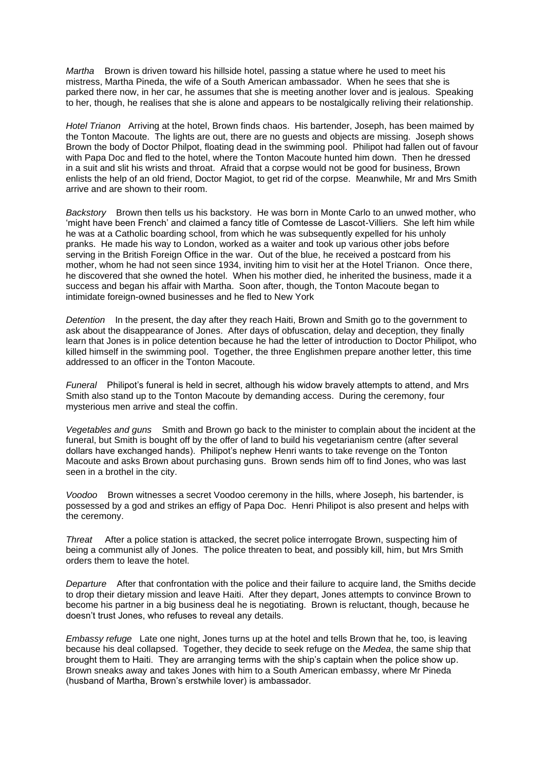*Martha* Brown is driven toward his hillside hotel, passing a statue where he used to meet his mistress, Martha Pineda, the wife of a South American ambassador. When he sees that she is parked there now, in her car, he assumes that she is meeting another lover and is jealous. Speaking to her, though, he realises that she is alone and appears to be nostalgically reliving their relationship.

*Hotel Trianon* Arriving at the hotel, Brown finds chaos. His bartender, Joseph, has been maimed by the Tonton Macoute. The lights are out, there are no guests and objects are missing. Joseph shows Brown the body of Doctor Philpot, floating dead in the swimming pool. Philipot had fallen out of favour with Papa Doc and fled to the hotel, where the Tonton Macoute hunted him down. Then he dressed in a suit and slit his wrists and throat. Afraid that a corpse would not be good for business, Brown enlists the help of an old friend, Doctor Magiot, to get rid of the corpse. Meanwhile, Mr and Mrs Smith arrive and are shown to their room.

*Backstory* Brown then tells us his backstory. He was born in Monte Carlo to an unwed mother, who 'might have been French' and claimed a fancy title of Comtesse de Lascot-Villiers. She left him while he was at a Catholic boarding school, from which he was subsequently expelled for his unholy pranks. He made his way to London, worked as a waiter and took up various other jobs before serving in the British Foreign Office in the war. Out of the blue, he received a postcard from his mother, whom he had not seen since 1934, inviting him to visit her at the Hotel Trianon. Once there, he discovered that she owned the hotel. When his mother died, he inherited the business, made it a success and began his affair with Martha. Soon after, though, the Tonton Macoute began to intimidate foreign-owned businesses and he fled to New York

*Detention* In the present, the day after they reach Haiti, Brown and Smith go to the government to ask about the disappearance of Jones. After days of obfuscation, delay and deception, they finally learn that Jones is in police detention because he had the letter of introduction to Doctor Philipot, who killed himself in the swimming pool. Together, the three Englishmen prepare another letter, this time addressed to an officer in the Tonton Macoute.

*Funeral* Philipot's funeral is held in secret, although his widow bravely attempts to attend, and Mrs Smith also stand up to the Tonton Macoute by demanding access. During the ceremony, four mysterious men arrive and steal the coffin.

*Vegetables and guns* Smith and Brown go back to the minister to complain about the incident at the funeral, but Smith is bought off by the offer of land to build his vegetarianism centre (after several dollars have exchanged hands). Philipot's nephew Henri wants to take revenge on the Tonton Macoute and asks Brown about purchasing guns. Brown sends him off to find Jones, who was last seen in a brothel in the city.

*Voodoo* Brown witnesses a secret Voodoo ceremony in the hills, where Joseph, his bartender, is possessed by a god and strikes an effigy of Papa Doc. Henri Philipot is also present and helps with the ceremony.

*Threat* After a police station is attacked, the secret police interrogate Brown, suspecting him of being a communist ally of Jones. The police threaten to beat, and possibly kill, him, but Mrs Smith orders them to leave the hotel.

*Departure* After that confrontation with the police and their failure to acquire land, the Smiths decide to drop their dietary mission and leave Haiti. After they depart, Jones attempts to convince Brown to become his partner in a big business deal he is negotiating. Brown is reluctant, though, because he doesn't trust Jones, who refuses to reveal any details.

*Embassy refuge* Late one night, Jones turns up at the hotel and tells Brown that he, too, is leaving because his deal collapsed. Together, they decide to seek refuge on the *Medea*, the same ship that brought them to Haiti. They are arranging terms with the ship's captain when the police show up. Brown sneaks away and takes Jones with him to a South American embassy, where Mr Pineda (husband of Martha, Brown's erstwhile lover) is ambassador.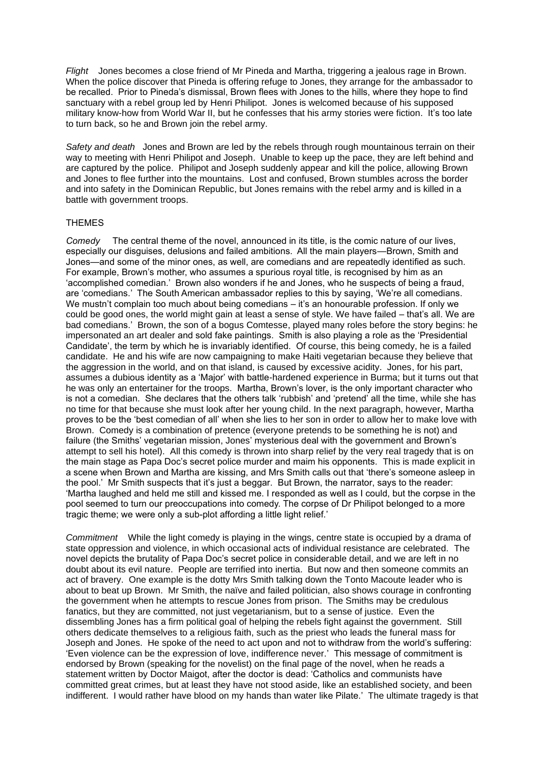*Flight* Jones becomes a close friend of Mr Pineda and Martha, triggering a jealous rage in Brown. When the police discover that Pineda is offering refuge to Jones, they arrange for the ambassador to be recalled. Prior to Pineda's dismissal, Brown flees with Jones to the hills, where they hope to find sanctuary with a rebel group led by Henri Philipot. Jones is welcomed because of his supposed military know-how from World War II, but he confesses that his army stories were fiction. It's too late to turn back, so he and Brown join the rebel army.

*Safety and death* Jones and Brown are led by the rebels through rough mountainous terrain on their way to meeting with Henri Philipot and Joseph. Unable to keep up the pace, they are left behind and are captured by the police. Philipot and Joseph suddenly appear and kill the police, allowing Brown and Jones to flee further into the mountains. Lost and confused, Brown stumbles across the border and into safety in the Dominican Republic, but Jones remains with the rebel army and is killed in a battle with government troops.

#### THEMES

*Comedy* The central theme of the novel, announced in its title, is the comic nature of our lives, especially our disguises, delusions and failed ambitions. All the main players—Brown, Smith and Jones—and some of the minor ones, as well, are comedians and are repeatedly identified as such. For example, Brown's mother, who assumes a spurious royal title, is recognised by him as an 'accomplished comedian.' Brown also wonders if he and Jones, who he suspects of being a fraud, are 'comedians.' The South American ambassador replies to this by saying, 'We're all comedians. We mustn't complain too much about being comedians – it's an honourable profession. If only we could be good ones, the world might gain at least a sense of style. We have failed – that's all. We are bad comedians.' Brown, the son of a bogus Comtesse, played many roles before the story begins: he impersonated an art dealer and sold fake paintings. Smith is also playing a role as the 'Presidential Candidate', the term by which he is invariably identified. Of course, this being comedy, he is a failed candidate. He and his wife are now campaigning to make Haiti vegetarian because they believe that the aggression in the world, and on that island, is caused by excessive acidity. Jones, for his part, assumes a dubious identity as a 'Major' with battle-hardened experience in Burma; but it turns out that he was only an entertainer for the troops. Martha, Brown's lover, is the only important character who is not a comedian. She declares that the others talk 'rubbish' and 'pretend' all the time, while she has no time for that because she must look after her young child. In the next paragraph, however, Martha proves to be the 'best comedian of all' when she lies to her son in order to allow her to make love with Brown. Comedy is a combination of pretence (everyone pretends to be something he is not) and failure (the Smiths' vegetarian mission, Jones' mysterious deal with the government and Brown's attempt to sell his hotel). All this comedy is thrown into sharp relief by the very real tragedy that is on the main stage as Papa Doc's secret police murder and maim his opponents. This is made explicit in a scene when Brown and Martha are kissing, and Mrs Smith calls out that 'there's someone asleep in the pool.' Mr Smith suspects that it's just a beggar. But Brown, the narrator, says to the reader: 'Martha laughed and held me still and kissed me. I responded as well as I could, but the corpse in the pool seemed to turn our preoccupations into comedy. The corpse of Dr Philipot belonged to a more tragic theme; we were only a sub-plot affording a little light relief.'

*Commitment* While the light comedy is playing in the wings, centre state is occupied by a drama of state oppression and violence, in which occasional acts of individual resistance are celebrated. The novel depicts the brutality of Papa Doc's secret police in considerable detail, and we are left in no doubt about its evil nature. People are terrified into inertia. But now and then someone commits an act of bravery. One example is the dotty Mrs Smith talking down the Tonto Macoute leader who is about to beat up Brown. Mr Smith, the naïve and failed politician, also shows courage in confronting the government when he attempts to rescue Jones from prison. The Smiths may be credulous fanatics, but they are committed, not just vegetarianism, but to a sense of justice. Even the dissembling Jones has a firm political goal of helping the rebels fight against the government. Still others dedicate themselves to a religious faith, such as the priest who leads the funeral mass for Joseph and Jones. He spoke of the need to act upon and not to withdraw from the world's suffering: 'Even violence can be the expression of love, indifference never.' This message of commitment is endorsed by Brown (speaking for the novelist) on the final page of the novel, when he reads a statement written by Doctor Maigot, after the doctor is dead: 'Catholics and communists have committed great crimes, but at least they have not stood aside, like an established society, and been indifferent. I would rather have blood on my hands than water like Pilate.' The ultimate tragedy is that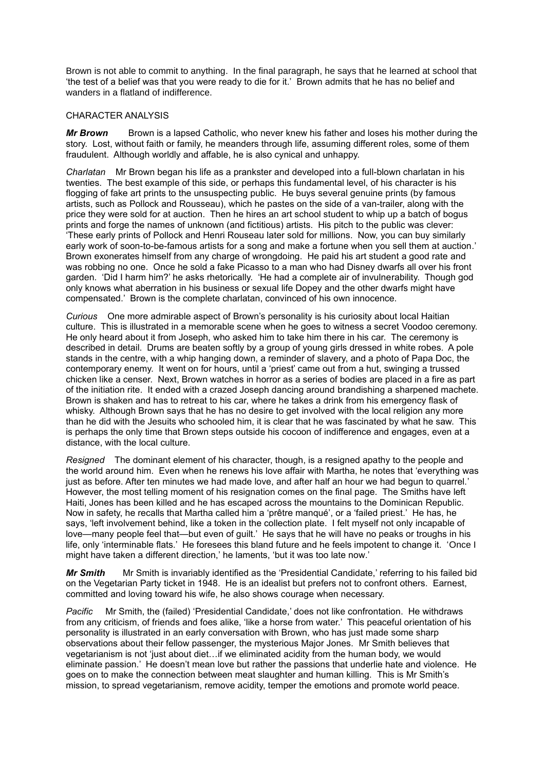Brown is not able to commit to anything. In the final paragraph, he says that he learned at school that 'the test of a belief was that you were ready to die for it.' Brown admits that he has no belief and wanders in a flatland of indifference.

#### CHARACTER ANALYSIS

*Mr Brown* Brown is a lapsed Catholic, who never knew his father and loses his mother during the story. Lost, without faith or family, he meanders through life, assuming different roles, some of them fraudulent. Although worldly and affable, he is also cynical and unhappy.

*Charlatan* Mr Brown began his life as a prankster and developed into a full-blown charlatan in his twenties. The best example of this side, or perhaps this fundamental level, of his character is his flogging of fake art prints to the unsuspecting public. He buys several genuine prints (by famous artists, such as Pollock and Rousseau), which he pastes on the side of a van-trailer, along with the price they were sold for at auction. Then he hires an art school student to whip up a batch of bogus prints and forge the names of unknown (and fictitious) artists. His pitch to the public was clever: 'These early prints of Pollock and Henri Rouseau later sold for millions. Now, you can buy similarly early work of soon-to-be-famous artists for a song and make a fortune when you sell them at auction.' Brown exonerates himself from any charge of wrongdoing. He paid his art student a good rate and was robbing no one. Once he sold a fake Picasso to a man who had Disney dwarfs all over his front garden. 'Did I harm him?' he asks rhetorically. 'He had a complete air of invulnerability. Though god only knows what aberration in his business or sexual life Dopey and the other dwarfs might have compensated.' Brown is the complete charlatan, convinced of his own innocence.

*Curious* One more admirable aspect of Brown's personality is his curiosity about local Haitian culture. This is illustrated in a memorable scene when he goes to witness a secret Voodoo ceremony. He only heard about it from Joseph, who asked him to take him there in his car. The ceremony is described in detail. Drums are beaten softly by a group of young girls dressed in white robes. A pole stands in the centre, with a whip hanging down, a reminder of slavery, and a photo of Papa Doc, the contemporary enemy. It went on for hours, until a 'priest' came out from a hut, swinging a trussed chicken like a censer. Next, Brown watches in horror as a series of bodies are placed in a fire as part of the initiation rite. It ended with a crazed Joseph dancing around brandishing a sharpened machete. Brown is shaken and has to retreat to his car, where he takes a drink from his emergency flask of whisky. Although Brown says that he has no desire to get involved with the local religion any more than he did with the Jesuits who schooled him, it is clear that he was fascinated by what he saw. This is perhaps the only time that Brown steps outside his cocoon of indifference and engages, even at a distance, with the local culture.

*Resigned* The dominant element of his character, though, is a resigned apathy to the people and the world around him. Even when he renews his love affair with Martha, he notes that 'everything was just as before. After ten minutes we had made love, and after half an hour we had begun to quarrel.' However, the most telling moment of his resignation comes on the final page. The Smiths have left Haiti, Jones has been killed and he has escaped across the mountains to the Dominican Republic. Now in safety, he recalls that Martha called him a 'prêtre manqué', or a 'failed priest.' He has, he says, 'left involvement behind, like a token in the collection plate. I felt myself not only incapable of love—many people feel that—but even of guilt.' He says that he will have no peaks or troughs in his life, only 'interminable flats.' He foresees this bland future and he feels impotent to change it. 'Once I might have taken a different direction,' he laments, 'but it was too late now.'

*Mr Smith* Mr Smith is invariably identified as the 'Presidential Candidate,' referring to his failed bid on the Vegetarian Party ticket in 1948. He is an idealist but prefers not to confront others. Earnest, committed and loving toward his wife, he also shows courage when necessary.

*Pacific* Mr Smith, the (failed) 'Presidential Candidate,' does not like confrontation. He withdraws from any criticism, of friends and foes alike, 'like a horse from water.' This peaceful orientation of his personality is illustrated in an early conversation with Brown, who has just made some sharp observations about their fellow passenger, the mysterious Major Jones. Mr Smith believes that vegetarianism is not 'just about diet…if we eliminated acidity from the human body, we would eliminate passion.' He doesn't mean love but rather the passions that underlie hate and violence. He goes on to make the connection between meat slaughter and human killing. This is Mr Smith's mission, to spread vegetarianism, remove acidity, temper the emotions and promote world peace.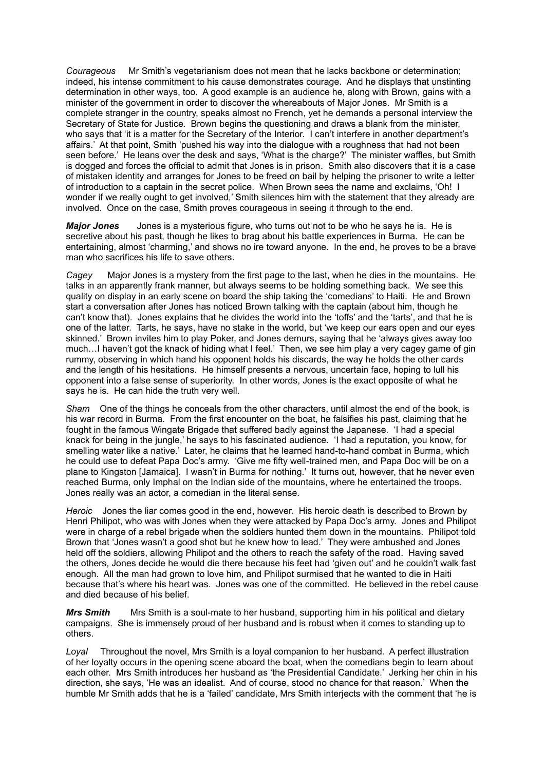*Courageous* Mr Smith's vegetarianism does not mean that he lacks backbone or determination; indeed, his intense commitment to his cause demonstrates courage. And he displays that unstinting determination in other ways, too. A good example is an audience he, along with Brown, gains with a minister of the government in order to discover the whereabouts of Major Jones. Mr Smith is a complete stranger in the country, speaks almost no French, yet he demands a personal interview the Secretary of State for Justice. Brown begins the questioning and draws a blank from the minister, who says that 'it is a matter for the Secretary of the Interior. I can't interfere in another department's affairs.' At that point, Smith 'pushed his way into the dialogue with a roughness that had not been seen before.' He leans over the desk and says, 'What is the charge?' The minister waffles, but Smith is dogged and forces the official to admit that Jones is in prison. Smith also discovers that it is a case of mistaken identity and arranges for Jones to be freed on bail by helping the prisoner to write a letter of introduction to a captain in the secret police. When Brown sees the name and exclaims, 'Oh! I wonder if we really ought to get involved,' Smith silences him with the statement that they already are involved. Once on the case, Smith proves courageous in seeing it through to the end.

*Major Jones* Jones is a mysterious figure, who turns out not to be who he says he is. He is secretive about his past, though he likes to brag about his battle experiences in Burma. He can be entertaining, almost 'charming,' and shows no ire toward anyone. In the end, he proves to be a brave man who sacrifices his life to save others.

*Cagey* Major Jones is a mystery from the first page to the last, when he dies in the mountains. He talks in an apparently frank manner, but always seems to be holding something back. We see this quality on display in an early scene on board the ship taking the 'comedians' to Haiti. He and Brown start a conversation after Jones has noticed Brown talking with the captain (about him, though he can't know that). Jones explains that he divides the world into the 'toffs' and the 'tarts', and that he is one of the latter. Tarts, he says, have no stake in the world, but 'we keep our ears open and our eyes skinned.' Brown invites him to play Poker, and Jones demurs, saying that he 'always gives away too much…I haven't got the knack of hiding what I feel.' Then, we see him play a very cagey game of gin rummy, observing in which hand his opponent holds his discards, the way he holds the other cards and the length of his hesitations. He himself presents a nervous, uncertain face, hoping to lull his opponent into a false sense of superiority. In other words, Jones is the exact opposite of what he says he is. He can hide the truth very well.

*Sham* One of the things he conceals from the other characters, until almost the end of the book, is his war record in Burma. From the first encounter on the boat, he falsifies his past, claiming that he fought in the famous Wingate Brigade that suffered badly against the Japanese. 'I had a special knack for being in the jungle,' he says to his fascinated audience. 'I had a reputation, you know, for smelling water like a native.' Later, he claims that he learned hand-to-hand combat in Burma, which he could use to defeat Papa Doc's army. 'Give me fifty well-trained men, and Papa Doc will be on a plane to Kingston [Jamaica]. I wasn't in Burma for nothing.' It turns out, however, that he never even reached Burma, only Imphal on the Indian side of the mountains, where he entertained the troops. Jones really was an actor, a comedian in the literal sense.

*Heroic* Jones the liar comes good in the end, however. His heroic death is described to Brown by Henri Philipot, who was with Jones when they were attacked by Papa Doc's army. Jones and Philipot were in charge of a rebel brigade when the soldiers hunted them down in the mountains. Philipot told Brown that 'Jones wasn't a good shot but he knew how to lead.' They were ambushed and Jones held off the soldiers, allowing Philipot and the others to reach the safety of the road. Having saved the others, Jones decide he would die there because his feet had 'given out' and he couldn't walk fast enough. All the man had grown to love him, and Philipot surmised that he wanted to die in Haiti because that's where his heart was. Jones was one of the committed. He believed in the rebel cause and died because of his belief.

**Mrs Smith** Mrs Smith is a soul-mate to her husband, supporting him in his political and dietary campaigns. She is immensely proud of her husband and is robust when it comes to standing up to others.

*Loyal* Throughout the novel, Mrs Smith is a loyal companion to her husband. A perfect illustration of her loyalty occurs in the opening scene aboard the boat, when the comedians begin to learn about each other. Mrs Smith introduces her husband as 'the Presidential Candidate.' Jerking her chin in his direction, she says, 'He was an idealist. And of course, stood no chance for that reason.' When the humble Mr Smith adds that he is a 'failed' candidate, Mrs Smith interjects with the comment that 'he is